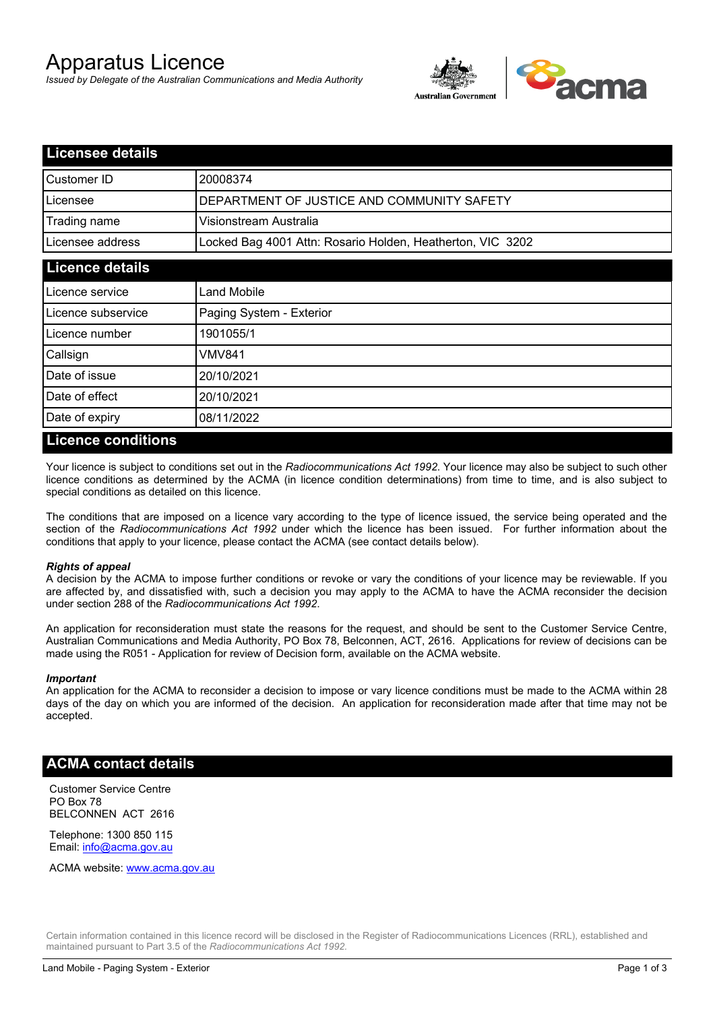# Apparatus Licence

*Issued by Delegate of the Australian Communications and Media Authority*



| <b>Licensee details</b>                                    |  |
|------------------------------------------------------------|--|
| 20008374                                                   |  |
| DEPARTMENT OF JUSTICE AND COMMUNITY SAFETY                 |  |
| Visionstream Australia                                     |  |
| Locked Bag 4001 Attn: Rosario Holden, Heatherton, VIC 3202 |  |
|                                                            |  |
| Land Mobile                                                |  |
| Paging System - Exterior                                   |  |
| 1901055/1                                                  |  |
| VMV841                                                     |  |
| 20/10/2021                                                 |  |
| 20/10/2021                                                 |  |
| 08/11/2022                                                 |  |
|                                                            |  |

### **Licence conditions**

Your licence is subject to conditions set out in the *Radiocommunications Act 1992*. Your licence may also be subject to such other licence conditions as determined by the ACMA (in licence condition determinations) from time to time, and is also subject to special conditions as detailed on this licence.

The conditions that are imposed on a licence vary according to the type of licence issued, the service being operated and the section of the *Radiocommunications Act 1992* under which the licence has been issued. For further information about the conditions that apply to your licence, please contact the ACMA (see contact details below).

#### *Rights of appeal*

A decision by the ACMA to impose further conditions or revoke or vary the conditions of your licence may be reviewable. If you are affected by, and dissatisfied with, such a decision you may apply to the ACMA to have the ACMA reconsider the decision under section 288 of the *Radiocommunications Act 1992*.

An application for reconsideration must state the reasons for the request, and should be sent to the Customer Service Centre, Australian Communications and Media Authority, PO Box 78, Belconnen, ACT, 2616. Applications for review of decisions can be made using the R051 - Application for review of Decision form, available on the ACMA website.

#### *Important*

An application for the ACMA to reconsider a decision to impose or vary licence conditions must be made to the ACMA within 28 days of the day on which you are informed of the decision. An application for reconsideration made after that time may not be accepted.

## **ACMA contact details**

Customer Service Centre PO Box 78 BELCONNEN ACT 2616

Telephone: 1300 850 115 Email: info@acma.gov.au

ACMA website: www.acma.gov.au

Certain information contained in this licence record will be disclosed in the Register of Radiocommunications Licences (RRL), established and maintained pursuant to Part 3.5 of the *Radiocommunications Act 1992.*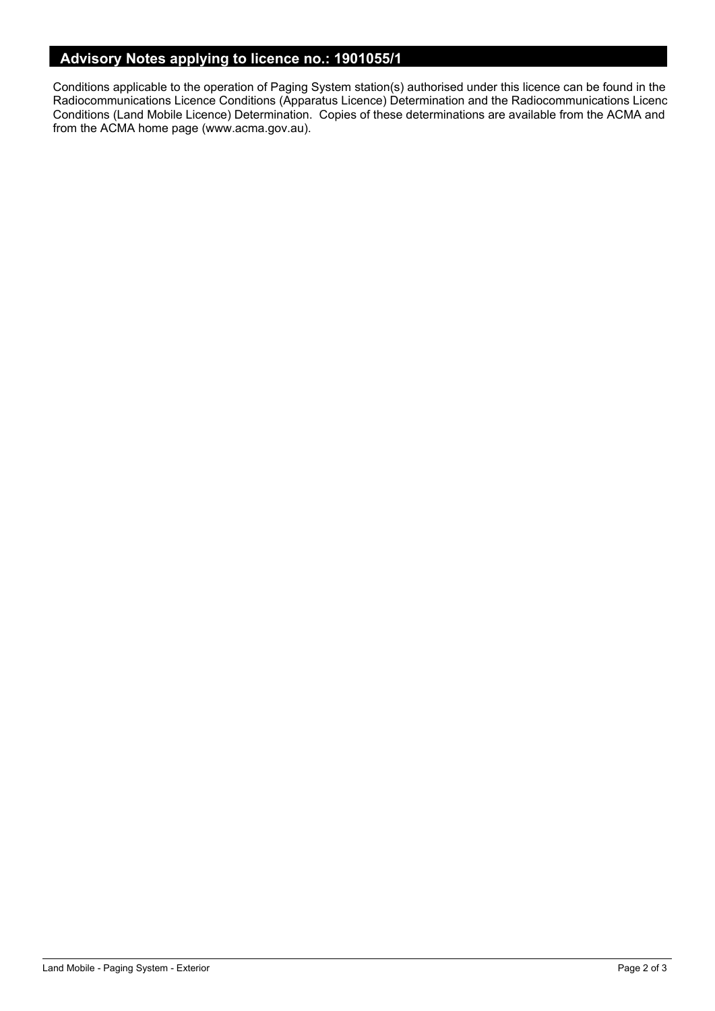# **Advisory Notes applying to licence no.: 1901055/1**

Conditions applicable to the operation of Paging System station(s) authorised under this licence can be found in the Radiocommunications Licence Conditions (Apparatus Licence) Determination and the Radiocommunications Licence Conditions (Land Mobile Licence) Determination. Copies of these determinations are available from the ACMA and from the ACMA home page (www.acma.gov.au).